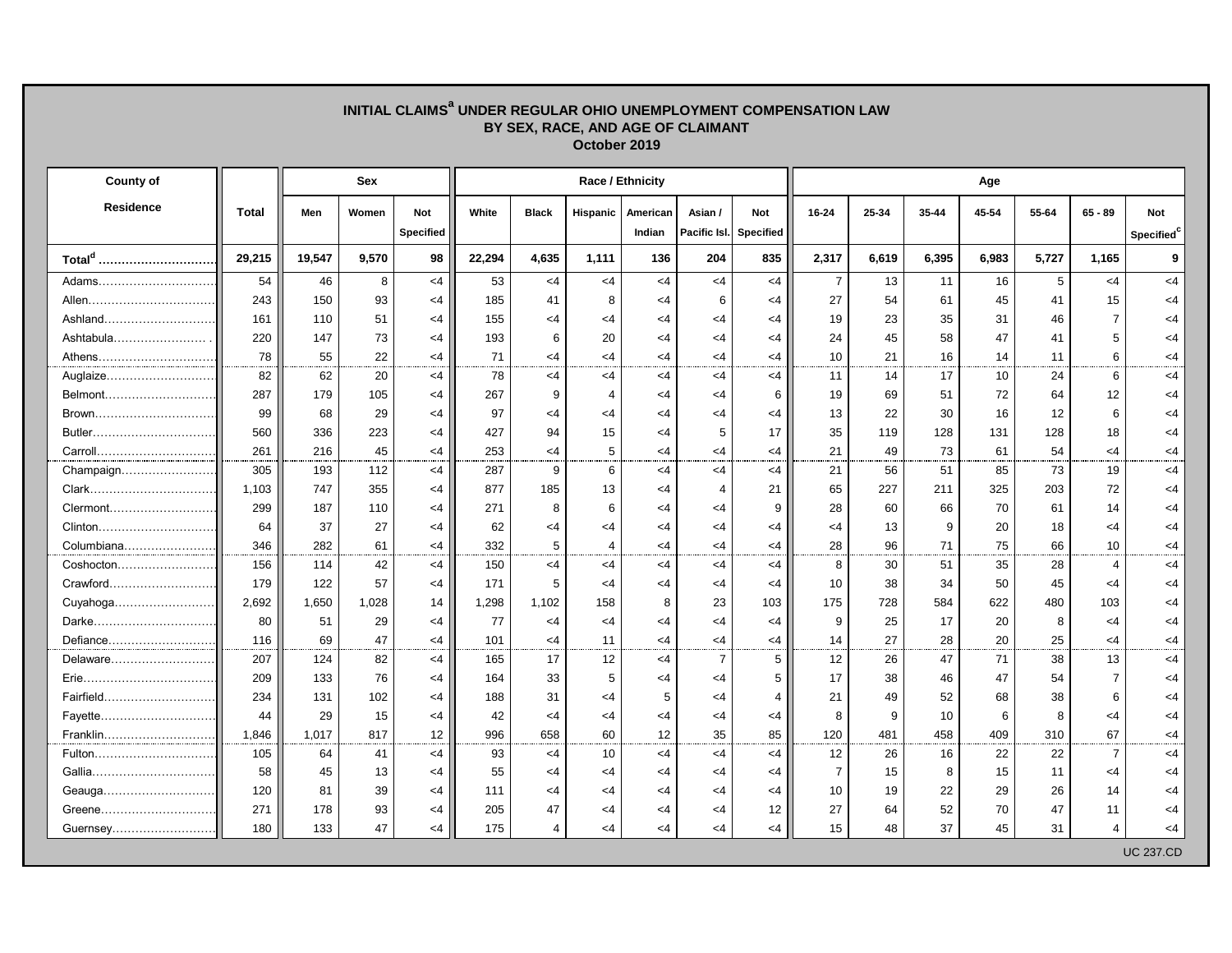## **INITIAL CLAIMS<sup>a</sup> UNDER REGULAR OHIO UNEMPLOYMENT COMPENSATION LAW BY SEX, RACE, AND AGE OF CLAIMANT October 2019**

| County of          |              |        | Sex   |                                | Race / Ethnicity |                |                |                    |                         |                         |                | Age   |       |       |       |                |                         |  |  |
|--------------------|--------------|--------|-------|--------------------------------|------------------|----------------|----------------|--------------------|-------------------------|-------------------------|----------------|-------|-------|-------|-------|----------------|-------------------------|--|--|
| <b>Residence</b>   | <b>Total</b> | Men    | Women | <b>Not</b><br><b>Specified</b> | White            | <b>Black</b>   | Hispanic       | American<br>Indian | Asian /<br>Pacific Isl. | <b>Not</b><br>Specified | 16-24          | 25-34 | 35-44 | 45-54 | 55-64 | $65 - 89$      | <b>Not</b><br>Specified |  |  |
| Total <sup>d</sup> | 29,215       | 19,547 | 9,570 | 98                             | 22,294           | 4,635          | 1,111          | 136                | 204                     | 835                     | 2,317          | 6,619 | 6,395 | 6,983 | 5,727 | 1,165          | 9                       |  |  |
| Adams              | 54           | 46     | 8     | $<$ 4                          | 53               | $\leq$ 4       | $<$ 4          | $<$ 4              | $<$ 4                   | $<$ 4                   | $\overline{7}$ | 13    | 11    | 16    | 5     | $<$ 4          | $<$ 4                   |  |  |
| Allen              | 243          | 150    | 93    | <4                             | 185              | 41             | 8              | $<$ 4              | 6                       | $<$ 4                   | 27             | 54    | 61    | 45    | 41    | 15             | <4                      |  |  |
| Ashland            | 161          | 110    | 51    | $<$ 4                          | 155              | $<$ 4          | $<$ 4          | $<$ 4              | $<$ 4                   | $<$ 4                   | 19             | 23    | 35    | 31    | 46    | $\overline{7}$ | $<$ 4                   |  |  |
| Ashtabula          | 220          | 147    | 73    | <4                             | 193              | 6              | 20             | $<$ 4              | <4                      | $<$ 4                   | 24             | 45    | 58    | 47    | 41    | 5              | <4                      |  |  |
| Athens             | 78           | 55     | 22    | $<$ 4                          | 71               | <4             | $<$ 4          | $<$ 4              | $<$ 4                   | $<$ 4                   | 10             | 21    | 16    | 14    | 11    | 6              | $<$ 4                   |  |  |
| Auglaize           | 82           | 62     | 20    | <4                             | 78               | $<$ 4          | $\leq$ 4       | $<$ 4              | <4                      | <4                      | 11             | 14    | 17    | 10    | 24    | 6              | $<$ 4                   |  |  |
| Belmont            | 287          | 179    | 105   | <4                             | 267              | 9              | $\overline{4}$ | $\leq$ 4           | <4                      | 6                       | 19             | 69    | 51    | 72    | 64    | 12             | $<$ 4                   |  |  |
| Brown              | 99           | 68     | 29    | <4                             | 97               | <4             | $<$ 4          | $<$ 4              | <4                      | <4                      | 13             | 22    | 30    | 16    | 12    | 6              | <4                      |  |  |
|                    | 560          | 336    | 223   | <4                             | 427              | 94             | 15             | $<$ 4              | 5                       | 17                      | 35             | 119   | 128   | 131   | 128   | 18             | <4                      |  |  |
| Carroll            | 261          | 216    | 45    | <4                             | 253              | $<$ 4          | 5              | $<$ 4              | $<$ 4                   | $<$ 4                   | 21             | 49    | 73    | 61    | 54    | <4             | $<$ 4                   |  |  |
| Champaign          | 305          | 193    | 112   | <4                             | 287              | 9              | 6              | $<$ 4              | $<$ 4                   | $<$ 4                   | 21             | 56    | 51    | 85    | 73    | 19             | $<$ 4                   |  |  |
| Clark              | 1,103        | 747    | 355   | <4                             | 877              | 185            | 13             | $<$ 4              | 4                       | 21                      | 65             | 227   | 211   | 325   | 203   | 72             | $<$ 4                   |  |  |
| Clermont           | 299          | 187    | 110   | <4                             | 271              | 8              | 6              | $<$ 4              | <4                      | 9                       | 28             | 60    | 66    | 70    | 61    | 14             | $<$ 4                   |  |  |
| Clinton            | 64           | 37     | 27    | <4                             | 62               | <4             | $<$ 4          | $<$ 4              | <4                      | <4                      | <4             | 13    | 9     | 20    | 18    | $<$ 4          | $<$ 4                   |  |  |
| Columbiana         | 346          | 282    | 61    | <4                             | 332              | 5              | 4              | $<$ 4              | <4                      | $\leq 4$                | 28             | 96    | 71    | 75    | 66    | 10             | <4                      |  |  |
| Coshocton          | 156          | 114    | 42    | <4                             | 150              | $<$ 4          | $<$ 4          | $<$ 4              | <4                      | $\leq 4$                | 8              | 30    | 51    | 35    | 28    | 4              | $<$ 4                   |  |  |
| Crawford           | 179          | 122    | 57    | <4                             | 171              | 5              | $<$ 4          | $<$ 4              | <4                      | $<$ 4                   | 10             | 38    | 34    | 50    | 45    | $<$ 4          | $<$ 4                   |  |  |
| Cuyahoga           | 2,692        | 1,650  | 1,028 | 14                             | 1,298            | 1,102          | 158            | 8                  | 23                      | 103                     | 175            | 728   | 584   | 622   | 480   | 103            | $<$ 4                   |  |  |
| Darke              | 80           | 51     | 29    | <4                             | 77               | $<$ 4          | $<$ 4          | $<$ 4              | <4                      | $<$ 4                   | 9              | 25    | 17    | 20    | 8     | $<$ 4          | $<$ 4                   |  |  |
| Defiance           | 116          | 69     | 47    | <4                             | 101              | $<$ 4          | 11             | $<$ 4              | <4                      | <4                      | 14             | 27    | 28    | 20    | 25    | $<$ 4          | <4                      |  |  |
| Delaware           | 207          | 124    | 82    | <4                             | 165              | 17             | 12             | $<$ 4              | $\overline{7}$          | 5                       | 12             | 26    | 47    | 71    | 38    | 13             | $<$ 4                   |  |  |
|                    | 209          | 133    | 76    | <4                             | 164              | 33             | 5              | $\leq$ 4           | <4                      | 5                       | 17             | 38    | 46    | 47    | 54    | $\overline{7}$ | $<$ 4                   |  |  |
| Fairfield          | 234          | 131    | 102   | $<$ 4                          | 188              | 31             | $<$ 4          | 5                  | $<$ 4                   | 4                       | 21             | 49    | 52    | 68    | 38    | 6              | $<$ 4                   |  |  |
| Fayette            | 44           | 29     | 15    | <4                             | 42               | $\leq$ 4       | $\leq$ 4       | $\leq$ 4           | <4                      | $\leq 4$                | 8              | 9     | 10    | 6     | 8     | $<$ 4          | <4                      |  |  |
| Franklin           | 1,846        | 1,017  | 817   | 12 <sub>2</sub>                | 996              | 658            | 60             | 12                 | 35                      | 85                      | 120            | 481   | 458   | 409   | 310   | 67             | $<$ 4                   |  |  |
| Fulton             | 105          | 64     | 41    | <4                             | 93               | <4             | 10             | $<$ 4              | <4                      | <4                      | 12             | 26    | 16    | 22    | 22    | $\overline{7}$ | $<$ 4                   |  |  |
|                    | 58           | 45     | 13    | <4                             | 55               | $<$ 4          | $\leq$ 4       | $<$ 4              | <4                      | <4                      | $\overline{7}$ | 15    | 8     | 15    | 11    | $<$ 4          | <4                      |  |  |
| Geauga             | 120          | 81     | 39    | <4                             | 111              | <4             | <4             | <4                 | <4                      | <4                      | 10             | 19    | 22    | 29    | 26    | 14             | <4                      |  |  |
| Greene             | 271          | 178    | 93    | <4                             | 205              | 47             | $\leq$ 4       | $<$ 4              | <4                      | 12                      | 27             | 64    | 52    | 70    | 47    | 11             | <4                      |  |  |
|                    | 180          | 133    | 47    | $<$ 4                          | 175              | $\overline{4}$ | $<$ 4          | $<$ 4              | $<$ 4                   | $<$ 4                   | 15             | 48    | 37    | 45    | 31    | 4              | $<$ 4                   |  |  |
|                    |              |        |       |                                |                  |                |                |                    |                         |                         |                |       |       |       |       |                | <b>UC 237.CD</b>        |  |  |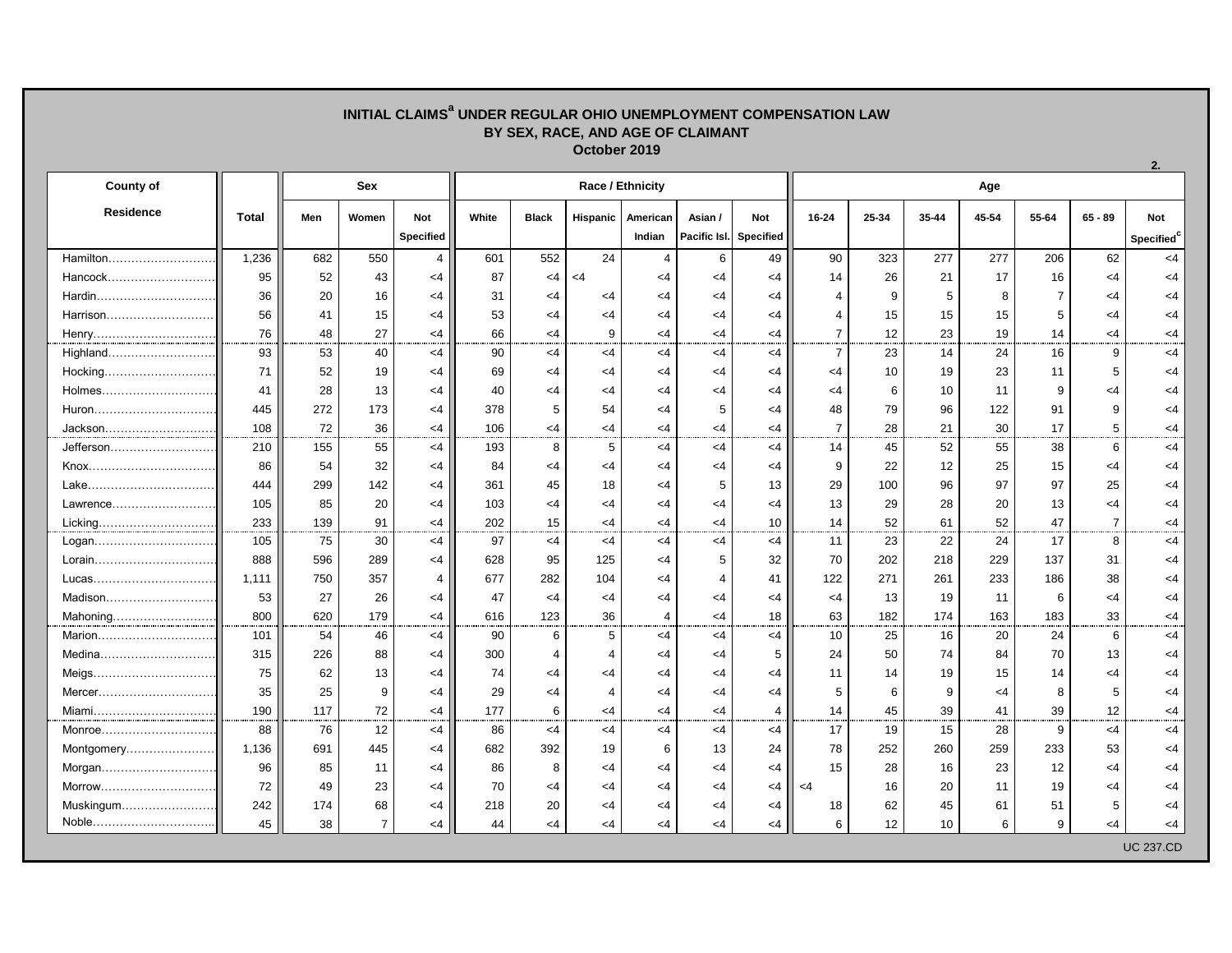## **INITIAL CLAIMS<sup>a</sup> UNDER REGULAR OHIO UNEMPLOYMENT COMPENSATION LAW BY SEX, RACE, AND AGE OF CLAIMANT October 2019**

| <b>County of</b> |              | Sex |                |                  | Race / Ethnicity |              |                 |                |                |                  |                | Age   |       |       |                |                |                        |  |  |
|------------------|--------------|-----|----------------|------------------|------------------|--------------|-----------------|----------------|----------------|------------------|----------------|-------|-------|-------|----------------|----------------|------------------------|--|--|
| <b>Residence</b> | <b>Total</b> | Men | Women          | Not              | White            | <b>Black</b> | <b>Hispanic</b> | American       | Asian /        | <b>Not</b>       | $16 - 24$      | 25-34 | 35-44 | 45-54 | 55-64          | $65 - 89$      | <b>Not</b>             |  |  |
|                  |              |     |                | <b>Specified</b> |                  |              |                 | Indian         | Pacific Isl.   | <b>Specified</b> |                |       |       |       |                |                | Specified <sup>c</sup> |  |  |
| Hamilton         | 1,236        | 682 | 550            | $\overline{4}$   | 601              | 552          | 24              | 4              | 6              | 49               | 90             | 323   | 277   | 277   | 206            | 62             | $\leq$ 4               |  |  |
| Hancock          | 95           | 52  | 43             | $<$ 4            | 87               | $<$ 4        | $<$ 4           | $<$ 4          | $<$ 4          | $<$ 4            | 14             | 26    | 21    | 17    | 16             | $<$ 4          | $\leq$ 4               |  |  |
|                  | 36           | 20  | 16             | $<$ 4            | 31               | $\leq 4$     | $<$ 4           | $<$ 4          | $<$ 4          | $<$ 4            | 4              | 9     | 5     | 8     | $\overline{7}$ | $<$ 4          | $<$ 4                  |  |  |
|                  | 56           | 41  | 15             | $<$ 4            | 53               | $<$ 4        | $<$ 4           | $<$ 4          | $<$ 4          | $<$ 4            | 4              | 15    | 15    | 15    | 5              | $<$ 4          | $<$ 4                  |  |  |
| Henry            | 76           | 48  | 27             | $<$ 4            | 66               | $<$ 4        | 9               | $<$ 4          | $<$ 4          | $<$ 4            | $\overline{7}$ | 12    | 23    | 19    | 14             | $<$ 4          | <4                     |  |  |
| Highland         | 93           | 53  | 40             | <4               | 90               | $<$ 4        | <4              | $<$ 4          | <4             | $<$ 4            | $\overline{7}$ | 23    | 14    | 24    | 16             | 9              | $<$ 4                  |  |  |
| Hocking          | 71           | 52  | 19             | $<$ 4            | 69               | $<$ 4        | $<$ 4           | $<$ 4          | $<$ 4          | $<$ 4            | $<$ 4          | 10    | 19    | 23    | 11             | 5              | $\leq$ 4               |  |  |
| Holmes           | 41           | 28  | 13             | $<$ 4            | 40               | $<$ 4        | $<$ 4           | $\leq 4$       | $<$ 4          | $<$ 4            | <4             | 6     | 10    | 11    | 9              | $<$ 4          | $<$ 4                  |  |  |
| Huron            | 445          | 272 | 173            | $<$ 4            | 378              | 5            | 54              | $<$ 4          | 5              | $<$ 4            | 48             | 79    | 96    | 122   | 91             | 9              | $<$ 4                  |  |  |
| Jackson          | 108          | 72  | 36             | $<$ 4            | 106              | $<$ 4        | <4              | $<$ 4          | $<$ 4          | $\leq$ 4         | $\overline{7}$ | 28    | 21    | 30    | 17             | 5              | $\leq 4$               |  |  |
| Jefferson        | 210          | 155 | 55             | $<$ 4            | 193              | 8            | 5               | $<$ 4          | $<$ 4          | $\leq$ 4         | 14             | 45    | 52    | 55    | 38             | 6              | $\leq 4$               |  |  |
| Knox             | 86           | 54  | 32             | $<$ 4            | 84               | $<$ 4        | $<$ 4           | $<$ 4          | $<$ 4          | $<$ 4            | 9              | 22    | 12    | 25    | 15             | $<$ 4          | $<$ 4                  |  |  |
| Lake             | 444          | 299 | 142            | $<$ 4            | 361              | 45           | 18              | $<$ 4          | 5              | 13               | 29             | 100   | 96    | 97    | 97             | 25             | $<$ 4                  |  |  |
| Lawrence         | 105          | 85  | 20             | $<$ 4            | 103              | $<$ 4        | $<$ 4           | $<$ 4          | $<$ 4          | $<$ 4            | 13             | 29    | 28    | 20    | 13             | $<$ 4          | $<$ 4                  |  |  |
|                  | 233          | 139 | 91             | $<$ 4            | 202              | 15           | $<$ 4           | $<$ 4          | $<$ 4          | 10               | 14             | 52    | 61    | 52    | 47             | $\overline{7}$ | $<$ 4                  |  |  |
| Logan            | 105          | 75  | 30             | $<$ 4            | 97               | $<$ 4        | $\leq 4$        | $\leq 4$       | <4             | $<$ 4            | 11             | 23    | 22    | 24    | 17             | 8              | $<$ 4                  |  |  |
|                  | 888          | 596 | 289            | <4               | 628              | 95           | 125             | $\leq 4$       | 5              | 32               | 70             | 202   | 218   | 229   | 137            | 31             | $\leq 4$               |  |  |
| Lucas            | 1,111        | 750 | 357            | $\overline{4}$   | 677              | 282          | 104             | $<$ 4          | $\overline{4}$ | 41               | 122            | 271   | 261   | 233   | 186            | 38             | <4                     |  |  |
| Madison          | 53           | 27  | 26             | <4               | 47               | $<$ 4        | $<$ 4           | $<$ 4          | <4             | $<$ 4            | $<$ 4          | 13    | 19    | 11    | 6              | $\leq 4$       | $<$ 4                  |  |  |
| Mahoning         | 800          | 620 | 179            | $<$ 4            | 616              | 123          | 36              | $\overline{4}$ | $<$ 4          | 18               | 63             | 182   | 174   | 163   | 183            | 33             | $<$ 4                  |  |  |
| Marion           | 101          | 54  | 46             | $<$ 4            | 90               | 6            | 5               | $<$ 4          | $<$ 4          | $<$ 4            | 10             | 25    | 16    | 20    | 24             | 6              | $<$ 4                  |  |  |
| Medina           | 315          | 226 | 88             | <4               | 300              | 4            | 4               | $\leq 4$       | $<$ 4          | 5                | 24             | 50    | 74    | 84    | 70             | 13             | $\leq$ 4               |  |  |
| Meigs            | 75           | 62  | 13             | $<$ 4            | 74               | <4           | <4              | $<$ 4          | $<$ 4          | $<$ 4            | 11             | 14    | 19    | 15    | 14             | $<$ 4          | $<$ 4                  |  |  |
| Mercer           | 35           | 25  | 9              | $<$ 4            | 29               | <4           | $\overline{4}$  | $<$ 4          | $<$ 4          | $<$ 4            | 5              | 6     | 9     | $<$ 4 | 8              | 5              | $\leq 4$               |  |  |
| Miami            | 190          | 117 | 72             | $<$ 4            | 177              | 6            | $<$ 4           | $<$ 4          | <4             | 4                | 14             | 45    | 39    | 41    | 39             | 12             | $<$ 4                  |  |  |
| Monroe           | 88           | 76  | 12             | $<$ 4            | 86               | $<$ 4        | <4              | $<$ 4          | $<$ 4          | $<$ 4            | 17             | 19    | 15    | 28    | 9              | $<$ 4          | $\leq 4$               |  |  |
| Montgomery       | 1,136        | 691 | 445            | $<$ 4            | 682              | 392          | 19              | 6              | 13             | 24               | 78             | 252   | 260   | 259   | 233            | 53             | $\leq 4$               |  |  |
| Morgan           | 96           | 85  | 11             | <4               | 86               | 8            | <4              | $<$ 4          | $<$ 4          | $<$ 4            | 15             | 28    | 16    | 23    | 12             | $<$ 4          | <4                     |  |  |
| Morrow           | 72           | 49  | 23             | $<$ 4            | 70               | $\leq 4$     | <4              | $<$ 4          | $<$ 4          | $<$ 4            | $<$ 4          | 16    | 20    | 11    | 19             | $<$ 4          | <4                     |  |  |
| Muskingum        | 242          | 174 | 68             | $<$ 4            | 218              | 20           | $<$ 4           | $<$ 4          | $<$ 4          | $<$ 4            | 18             | 62    | 45    | 61    | 51             | 5              | $<$ 4                  |  |  |
| Noble            | 45           | 38  | $\overline{7}$ | <4               | 44               | $<$ 4        | <4              | $<$ 4          | <4             | $<$ 4            | 6              | 12    | 10    | 6     | 9              | $<$ 4          | <4                     |  |  |
|                  |              |     |                |                  |                  |              |                 |                |                |                  |                |       |       |       |                |                | <b>UC 237.CD</b>       |  |  |

**2.**